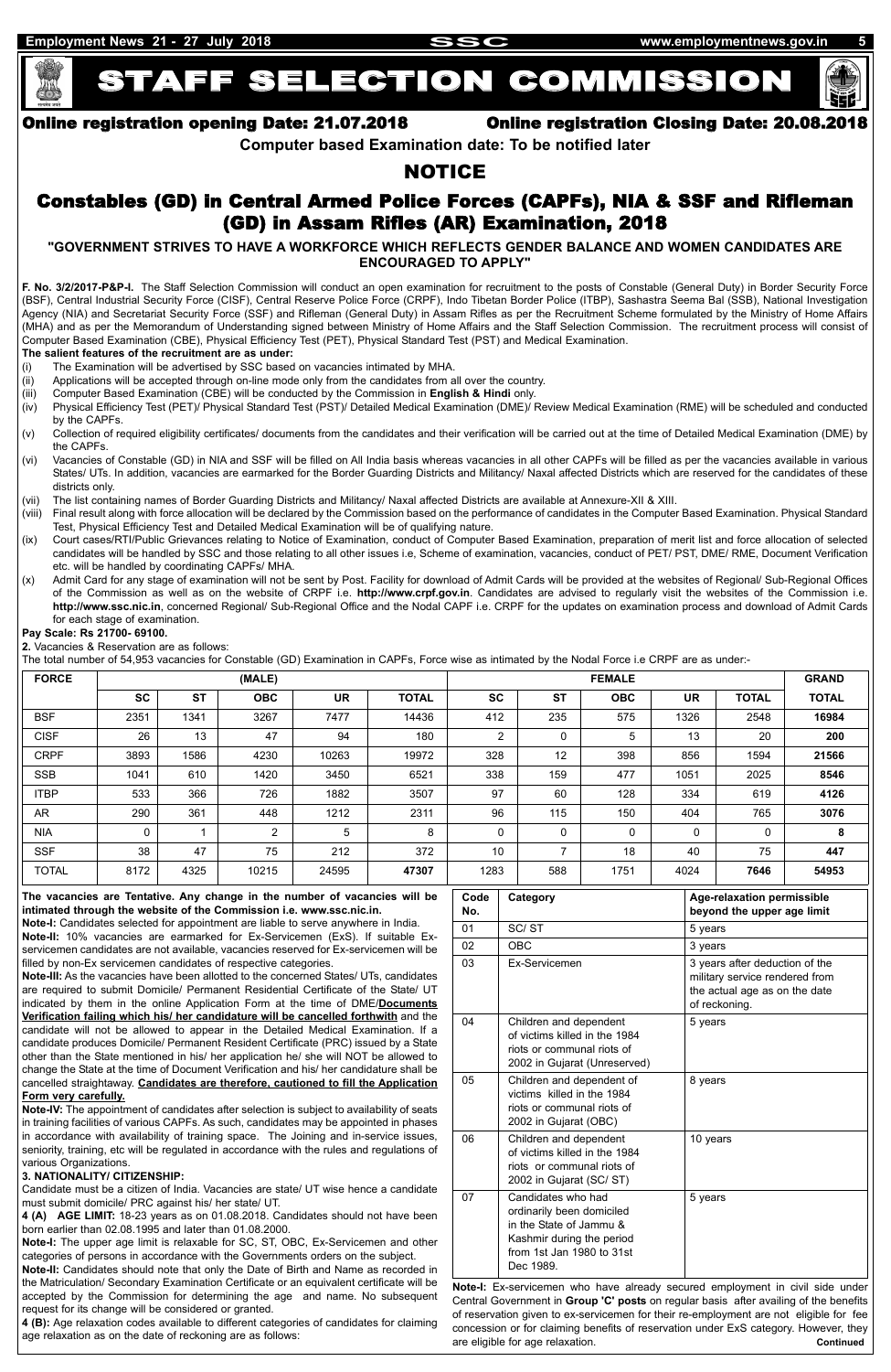# STAFF SELECTION COMMISSION



# Online registration opening Date: 21.07.2018 Online registration Closing Date: 20.08.2018

**Computer based Examination date: To be notified later**

# NOTICE

# Constables (GD) in Central Armed Police Forces (CAPFs), NIA & SSF and Rifleman (GD) in Assam Rifles (AR) Examination, 2018

# **"GOVERNMENT STRIVES TO HAVE A WORKFORCE WHICH REFLECTS GENDER BALANCE AND WOMEN CANDIDATES ARE ENCOURAGED TO APPLY"**

**F. No. 3/2/2017-P&P-I.** The Staff Selection Commission will conduct an open examination for recruitment to the posts of Constable (General Duty) in Border Security Force (BSF), Central Industrial Security Force (CISF), Central Reserve Police Force (CRPF), Indo Tibetan Border Police (ITBP), Sashastra Seema Bal (SSB), National Investigation Agency (NIA) and Secretariat Security Force (SSF) and Rifleman (General Duty) in Assam Rifles as per the Recruitment Scheme formulated by the Ministry of Home Affairs (MHA) and as per the Memorandum of Understanding signed between Ministry of Home Affairs and the Staff Selection Commission. The recruitment process will consist of Computer Based Examination (CBE), Physical Efficiency Test (PET), Physical Standard Test (PST) and Medical Examination.

**The salient features of the recruitment are as under:**

- (i) The Examination will be advertised by SSC based on vacancies intimated by MHA.
- (ii) Applications will be accepted through on-line mode only from the candidates from all over the country.
- (iii) Computer Based Examination (CBE) will be conducted by the Commission in **English & Hindi** only.
- (iv) Physical Efficiency Test (PET)/ Physical Standard Test (PST)/ Detailed Medical Examination (DME)/ Review Medical Examination (RME) will be scheduled and conducted by the CAPFs.
- (v) Collection of required eligibility certificates/ documents from the candidates and their verification will be carried out at the time of Detailed Medical Examination (DME) by the CAPFs.
- (vi) Vacancies of Constable (GD) in NIA and SSF will be filled on All India basis whereas vacancies in all other CAPFs will be filled as per the vacancies available in various States/ UTs. In addition, vacancies are earmarked for the Border Guarding Districts and Militancy/ Naxal affected Districts which are reserved for the candidates of these districts only.
- (vii) The list containing names of Border Guarding Districts and Militancy/ Naxal affected Districts are available at Annexure-XII & XIII.
- (viii) Final result along with force allocation will be declared by the Commission based on the performance of candidates in the Computer Based Examination. Physical Standard Test, Physical Efficiency Test and Detailed Medical Examination will be of qualifying nature.
- (ix) Court cases/RTI/Public Grievances relating to Notice of Examination, conduct of Computer Based Examination, preparation of merit list and force allocation of selected candidates will be handled by SSC and those relating to all other issues i.e, Scheme of examination, vacancies, conduct of PET/ PST, DME/ RME, Document Verification etc. will be handled by coordinating CAPFs/ MHA.
- (x) Admit Card for any stage of examination will not be sent by Post. Facility for download of Admit Cards will be provided at the websites of Regional/ Sub-Regional Offices of the Commission as well as on the website of CRPF i.e. **http://www.crpf.gov.in**. Candidates are advised to regularly visit the websites of the Commission i.e. **http://www.ssc.nic.in**, concerned Regional/ Sub-Regional Office and the Nodal CAPF i.e. CRPF for the updates on examination process and download of Admit Cards for each stage of examination.

#### **Pay Scale: Rs 21700- 69100.**

**2.** Vacancies & Reservation are as follows:

The total number of 54,953 vacancies for Constable (GD) Examination in CAPFs, Force wise as intimated by the Nodal Force i.e CRPF are as under:-

| <b>FORCE</b> |           |           | (MALE)     |           |              | <b>FEMALE</b>  |             |            |           | <b>GRAND</b> |              |
|--------------|-----------|-----------|------------|-----------|--------------|----------------|-------------|------------|-----------|--------------|--------------|
|              | <b>SC</b> | <b>ST</b> | <b>OBC</b> | <b>UR</b> | <b>TOTAL</b> | <b>SC</b>      | <b>ST</b>   | <b>OBC</b> | <b>UR</b> | <b>TOTAL</b> | <b>TOTAL</b> |
| <b>BSF</b>   | 2351      | 1341      | 3267       | 7477      | 14436        | 412            | 235         | 575        | 1326      | 2548         | 16984        |
| <b>CISF</b>  | 26        | 13        | 47         | 94        | 180          | $\overline{2}$ | $\mathbf 0$ | 5          | 13        | 20           | 200          |
| <b>CRPF</b>  | 3893      | 1586      | 4230       | 10263     | 19972        | 328            | 12          | 398        | 856       | 1594         | 21566        |
| <b>SSB</b>   | 1041      | 610       | 1420       | 3450      | 6521         | 338            | 159         | 477        | 1051      | 2025         | 8546         |
| <b>ITBP</b>  | 533       | 366       | 726        | 1882      | 3507         | 97             | 60          | 128        | 334       | 619          | 4126         |
| AR           | 290       | 361       | 448        | 1212      | 2311         | 96             | 115         | 150        | 404       | 765          | 3076         |
| <b>NIA</b>   | 0         |           | 2          | 5         | 8            | 0              | $\mathbf 0$ | $\Omega$   | 0         | 0            | 8            |
| <b>SSF</b>   | 38        | 47        | 75         | 212       | 372          | 10             | 7           | 18         | 40        | 75           | 447          |
| <b>TOTAL</b> | 8172      | 4325      | 10215      | 24595     | 47307        | 1283           | 588         | 1751       | 4024      | 7646         | 54953        |

**The vacancies are Tentative. Any change in the number of vacancies will be intimated through the website of the Commission i.e. www.ssc.nic.in.**

**Note-I:** Candidates selected for appointment are liable to serve anywhere in India.

**Note-II:** 10% vacancies are earmarked for Ex-Servicemen (ExS). If suitable Exservicemen candidates are not available, vacancies reserved for Ex-servicemen will be filled by non-Ex servicemen candidates of respective categories.

**Note-III:** As the vacancies have been allotted to the concerned States/ UTs, candidates are required to submit Domicile/ Permanent Residential Certificate of the State/ UT indicated by them in the online Application Form at the time of DME/**Documents Verification failing which his/ her candidature will be cancelled forthwith** and the candidate will not be allowed to appear in the Detailed Medical Examination. If a candidate produces Domicile/ Permanent Resident Certificate (PRC) issued by a State other than the State mentioned in his/ her application he/ she will NOT be allowed to change the State at the time of Document Verification and his/ her candidature shall be cancelled straightaway. **Candidates are therefore, cautioned to fill the Application**

#### **Form very carefully.**

**Note-IV:** The appointment of candidates after selection is subject to availability of seats in training facilities of various CAPFs. As such, candidates may be appointed in phases in accordance with availability of training space. The Joining and in-service issues, seniority, training, etc will be regulated in accordance with the rules and regulations of various Organizations.

#### **3. NATIONALITY/ CITIZENSHIP:**

Candidate must be a citizen of India. Vacancies are state/ UT wise hence a candidate must submit domicile/ PRC against his/ her state/ UT.

**4 (A) AGE LIMIT:** 18-23 years as on 01.08.2018. Candidates should not have been born earlier than 02.08.1995 and later than 01.08.2000.

**Note-I:** The upper age limit is relaxable for SC, ST, OBC, Ex-Servicemen and other categories of persons in accordance with the Governments orders on the subject.

**Note-II:** Candidates should note that only the Date of Birth and Name as recorded in the Matriculation/ Secondary Examination Certificate or an equivalent certificate will be accepted by the Commission for determining the age and name. No subsequent request for its change will be considered or granted.

**4 (B):** Age relaxation codes available to different categories of candidates for claiming age relaxation as on the date of reckoning are as follows:

| Code<br>No. | Category                                                                                                                                          | Age-relaxation permissible<br>beyond the upper age limit                                                           |
|-------------|---------------------------------------------------------------------------------------------------------------------------------------------------|--------------------------------------------------------------------------------------------------------------------|
| 01          | SC/ST                                                                                                                                             | 5 years                                                                                                            |
| 02          | <b>OBC</b>                                                                                                                                        | 3 years                                                                                                            |
| 03          | <b>Fx-Servicemen</b>                                                                                                                              | 3 years after deduction of the<br>military service rendered from<br>the actual age as on the date<br>of reckoning. |
| 04          | Children and dependent<br>of victims killed in the 1984<br>riots or communal riots of<br>2002 in Gujarat (Unreserved)                             | 5 years                                                                                                            |
| 05          | Children and dependent of<br>victims killed in the 1984<br>riots or communal riots of<br>2002 in Gujarat (OBC)                                    | 8 years                                                                                                            |
| 06          | Children and dependent<br>of victims killed in the 1984<br>riots or communal riots of<br>2002 in Gujarat (SC/ST)                                  | 10 years                                                                                                           |
| 07          | Candidates who had<br>ordinarily been domiciled<br>in the State of Jammu &<br>Kashmir during the period<br>from 1st Jan 1980 to 31st<br>Dec 1989. | 5 years                                                                                                            |

**Note-I:** Ex-servicemen who have already secured employment in civil side under Central Government in **Group 'C' posts** on regular basis after availing of the benefits of reservation given to ex-servicemen for their re-employment are not eligible for fee concession or for claiming benefits of reservation under ExS category. However, they are eligible for age relaxation. **Continued**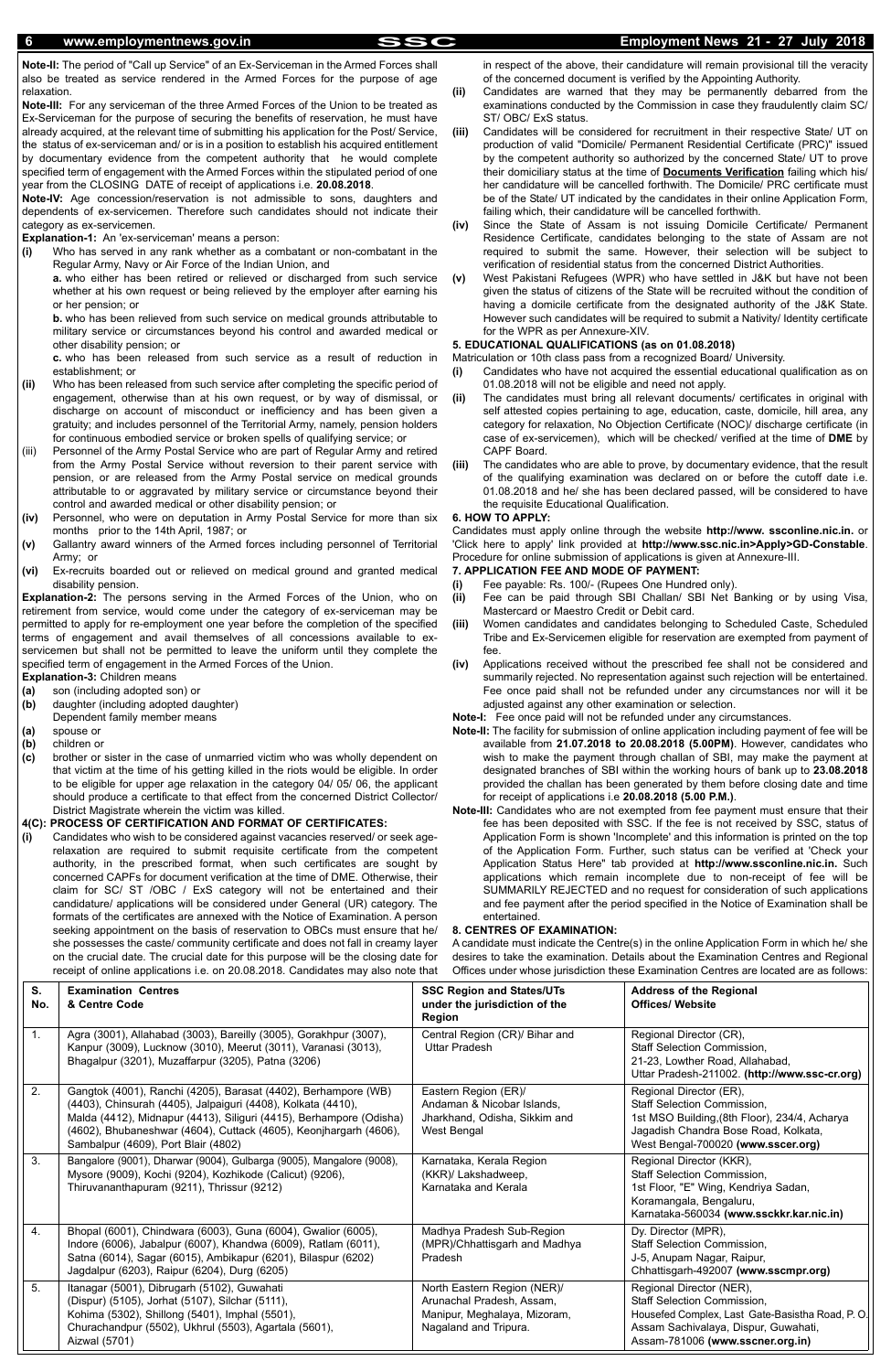**Note-II:** The period of "Call up Service" of an Ex-Serviceman in the Armed Forces shall also be treated as service rendered in the Armed Forces for the purpose of age relaxation.

**Note-III:** For any serviceman of the three Armed Forces of the Union to be treated as Ex-Serviceman for the purpose of securing the benefits of reservation, he must have already acquired, at the relevant time of submitting his application for the Post/ Service, the status of ex-serviceman and/ or is in a position to establish his acquired entitlement by documentary evidence from the competent authority that he would complete specified term of engagement with the Armed Forces within the stipulated period of one year from the CLOSING DATE of receipt of applications i.e. **20.08.2018**.

**Note-IV:** Age concession/reservation is not admissible to sons, daughters and dependents of ex-servicemen. Therefore such candidates should not indicate their category as ex-servicemen.

### **Explanation-1:** An 'ex-serviceman' means a person:

**(i)** Who has served in any rank whether as a combatant or non-combatant in the Regular Army, Navy or Air Force of the Indian Union, and

**a.** who either has been retired or relieved or discharged from such service whether at his own request or being relieved by the employer after earning his or her pension; or

**b.** who has been relieved from such service on medical grounds attributable to military service or circumstances beyond his control and awarded medical or other disability pension; or

**c.** who has been released from such service as a result of reduction in establishment; or

**(i)** Candidates who wish to be considered against vacancies reserved/ or seek agerelaxation are required to submit requisite certificate from the competent authority, in the prescribed format, when such certificates are sought by concerned CAPFs for document verification at the time of DME. Otherwise, their claim for SC/ ST /OBC / ExS category will not be entertained and their candidature/ applications will be considered under General (UR) category. The formats of the certificates are annexed with the Notice of Examination. A person seeking appointment on the basis of reservation to OBCs must ensure that he/ she possesses the caste/ community certificate and does not fall in creamy layer on the crucial date. The crucial date for this purpose will be the closing date for  $\overline{a}$  on 20.08.2019. Candidates may applicate

- **(ii)** Who has been released from such service after completing the specific period of engagement, otherwise than at his own request, or by way of dismissal, or discharge on account of misconduct or inefficiency and has been given a gratuity; and includes personnel of the Territorial Army, namely, pension holders for continuous embodied service or broken spells of qualifying service; or
- (iii) Personnel of the Army Postal Service who are part of Regular Army and retired from the Army Postal Service without reversion to their parent service with pension, or are released from the Army Postal service on medical grounds attributable to or aggravated by military service or circumstance beyond their control and awarded medical or other disability pension; or
- **(iv)** Personnel, who were on deputation in Army Postal Service for more than six months prior to the 14th April, 1987; or
- **(v)** Gallantry award winners of the Armed forces including personnel of Territorial Army; or
- **(vi)** Ex-recruits boarded out or relieved on medical ground and granted medical disability pension.

**Explanation-2:** The persons serving in the Armed Forces of the Union, who on retirement from service, would come under the category of ex-serviceman may be permitted to apply for re-employment one year before the completion of the specified terms of engagement and avail themselves of all concessions available to exservicemen but shall not be permitted to leave the uniform until they complete the specified term of engagement in the Armed Forces of the Union.

**Explanation-3:** Children means

- **(a)** son (including adopted son) or
- **(b)** daughter (including adopted daughter) Dependent family member means
- **(a)** spouse or
- **(b)** children or
- **(c)** brother or sister in the case of unmarried victim who was wholly dependent on that victim at the time of his getting killed in the riots would be eligible. In order to be eligible for upper age relaxation in the category 04/ 05/ 06, the applicant should produce a certificate to that effect from the concerned District Collector/ District Magistrate wherein the victim was killed.

# **4(C): PROCESS OF CERTIFICATION AND FORMAT OF CERTIFICATES:**

in respect of the above, their candidature will remain provisional till the veracity of the concerned document is verified by the Appointing Authority.

- **(ii)** Candidates are warned that they may be permanently debarred from the examinations conducted by the Commission in case they fraudulently claim SC/ ST/ OBC/ ExS status.
- **(iii)** Candidates will be considered for recruitment in their respective State/ UT on production of valid "Domicile/ Permanent Residential Certificate (PRC)" issued by the competent authority so authorized by the concerned State/ UT to prove their domiciliary status at the time of **Documents Verification** failing which his/ her candidature will be cancelled forthwith. The Domicile/ PRC certificate must be of the State/ UT indicated by the candidates in their online Application Form, failing which, their candidature will be cancelled forthwith.
- **(iv)** Since the State of Assam is not issuing Domicile Certificate/ Permanent Residence Certificate, candidates belonging to the state of Assam are not required to submit the same. However, their selection will be subject to verification of residential status from the concerned District Authorities.
- **(v)** West Pakistani Refugees (WPR) who have settled in J&K but have not been given the status of citizens of the State will be recruited without the condition of having a domicile certificate from the designated authority of the J&K State. However such candidates will be required to submit a Nativity/ Identity certificate for the WPR as per Annexure-XIV.

## **5. EDUCATIONAL QUALIFICATIONS (as on 01.08.2018)**

Matriculation or 10th class pass from a recognized Board/ University.

- **(i)** Candidates who have not acquired the essential educational qualification as on 01.08.2018 will not be eligible and need not apply.
- **(ii)** The candidates must bring all relevant documents/ certificates in original with self attested copies pertaining to age, education, caste, domicile, hill area, any category for relaxation, No Objection Certificate (NOC)/ discharge certificate (in case of ex-servicemen), which will be checked/ verified at the time of **DME** by CAPF Board.
- **(iii)** The candidates who are able to prove, by documentary evidence, that the result of the qualifying examination was declared on or before the cutoff date i.e. 01.08.2018 and he/ she has been declared passed, will be considered to have the requisite Educational Qualification.

### **6. HOW TO APPLY:**

Candidates must apply online through the website **http://www. ssconline.nic.in.** or 'Click here to apply' link provided at **http://www.ssc.nic.in>Apply>GD-Constable**. Procedure for online submission of applications is given at Annexure-III.

# **7. APPLICATION FEE AND MODE OF PAYMENT:**

- **(i)** Fee payable: Rs. 100/- (Rupees One Hundred only).
- **(ii)** Fee can be paid through SBI Challan/ SBI Net Banking or by using Visa, Mastercard or Maestro Credit or Debit card.
- **(iii)** Women candidates and candidates belonging to Scheduled Caste, Scheduled Tribe and Ex-Servicemen eligible for reservation are exempted from payment of fee.
- **(iv)** Applications received without the prescribed fee shall not be considered and summarily rejected. No representation against such rejection will be entertained. Fee once paid shall not be refunded under any circumstances nor will it be adjusted against any other examination or selection.
- **Note-I:** Fee once paid will not be refunded under any circumstances.
- **Note-II:** The facility for submission of online application including payment of fee will be available from **21.07.2018 to 20.08.2018 (5.00PM)**. However, candidates who wish to make the payment through challan of SBI, may make the payment at designated branches of SBI within the working hours of bank up to **23.08.2018** provided the challan has been generated by them before closing date and time for receipt of applications i.e **20.08.2018 (5.00 P.M.)**.
- **Note-III:** Candidates who are not exempted from fee payment must ensure that their fee has been deposited with SSC. If the fee is not received by SSC, status of Application Form is shown 'Incomplete' and this information is printed on the top of the Application Form. Further, such status can be verified at 'Check your Application Status Here" tab provided at **http://www.ssconline.nic.in.** Such applications which remain incomplete due to non-receipt of fee will be SUMMARILY REJECTED and no request for consideration of such applications and fee payment after the period specified in the Notice of Examination shall be entertained.

### **8. CENTRES OF EXAMINATION:**

A candidate must indicate the Centre(s) in the online Application Form in which he/ she desires to take the examination. Details about the Examination Centres and Regional Offices under whose jurisdiction these Examination Centres are located are as follows:

|           | receipt or orimite applications i.e. on 20.00.2010. Candidates may also note that <sup>cont</sup> used whose funsulation these Examination Centres are located are as follows.                                                                                                                                    |                                                                                                                   |                                                                                                                                                                                              |
|-----------|-------------------------------------------------------------------------------------------------------------------------------------------------------------------------------------------------------------------------------------------------------------------------------------------------------------------|-------------------------------------------------------------------------------------------------------------------|----------------------------------------------------------------------------------------------------------------------------------------------------------------------------------------------|
| S.<br>No. | <b>Examination Centres</b><br>& Centre Code                                                                                                                                                                                                                                                                       | <b>SSC Region and States/UTs</b><br>under the jurisdiction of the<br><b>Region</b>                                | <b>Address of the Regional</b><br><b>Offices/ Website</b>                                                                                                                                    |
| 1.        | Agra (3001), Allahabad (3003), Bareilly (3005), Gorakhpur (3007),<br>Kanpur (3009), Lucknow (3010), Meerut (3011), Varanasi (3013),<br>Bhagalpur (3201), Muzaffarpur (3205), Patna (3206)                                                                                                                         | Central Region (CR)/ Bihar and<br><b>Uttar Pradesh</b>                                                            | Regional Director (CR),<br>Staff Selection Commission,<br>21-23, Lowther Road, Allahabad,<br>Uttar Pradesh-211002. (http://www.ssc-cr.org)                                                   |
| 2.        | Gangtok (4001), Ranchi (4205), Barasat (4402), Berhampore (WB)<br>(4403), Chinsurah (4405), Jalpaiguri (4408), Kolkata (4410),<br>Malda (4412), Midnapur (4413), Siliguri (4415), Berhampore (Odisha)<br>(4602), Bhubaneshwar (4604), Cuttack (4605), Keonjhargarh (4606),<br>Sambalpur (4609), Port Blair (4802) | Eastern Region (ER)/<br>Andaman & Nicobar Islands,<br>Jharkhand, Odisha, Sikkim and<br>West Bengal                | Regional Director (ER),<br><b>Staff Selection Commission.</b><br>1st MSO Building, (8th Floor), 234/4, Acharya<br>Jagadish Chandra Bose Road, Kolkata,<br>West Bengal-700020 (www.sscer.org) |
| 3.        | Bangalore (9001), Dharwar (9004), Gulbarga (9005), Mangalore (9008),<br>Mysore (9009), Kochi (9204), Kozhikode (Calicut) (9206),<br>Thiruvananthapuram (9211), Thrissur (9212)                                                                                                                                    | Karnataka, Kerala Region<br>(KKR)/ Lakshadweep,<br>Karnataka and Kerala                                           | Regional Director (KKR),<br>Staff Selection Commission,<br>1st Floor, "E" Wing, Kendriya Sadan,<br>Koramangala, Bengaluru,<br>Karnataka-560034 (www.ssckkr.kar.nic.in)                       |
| 4.        | Bhopal (6001), Chindwara (6003), Guna (6004), Gwalior (6005),<br>Indore (6006), Jabalpur (6007), Khandwa (6009), Ratlam (6011),<br>Satna (6014), Sagar (6015), Ambikapur (6201), Bilaspur (6202)<br>Jagdalpur (6203), Raipur (6204), Durg (6205)                                                                  | Madhya Pradesh Sub-Region<br>(MPR)/Chhattisgarh and Madhya<br>Pradesh                                             | Dy. Director (MPR),<br>Staff Selection Commission,<br>J-5, Anupam Nagar, Raipur,<br>Chhattisgarh-492007 (www.sscmpr.org)                                                                     |
| 5.        | Itanagar (5001), Dibrugarh (5102), Guwahati<br>(Dispur) (5105), Jorhat (5107), Silchar (5111),<br>Kohima (5302), Shillong (5401), Imphal (5501),<br>Churachandpur (5502), Ukhrul (5503), Agartala (5601),<br>Aizwal (5701)                                                                                        | North Eastern Region (NER)/<br>Arunachal Pradesh, Assam,<br>Manipur, Meghalaya, Mizoram,<br>Nagaland and Tripura. | Regional Director (NER),<br>Staff Selection Commission,<br>Housefed Complex, Last Gate-Basistha Road, P.O.<br>Assam Sachivalaya, Dispur, Guwahati,<br>Assam-781006 (www.sscner.org.in)       |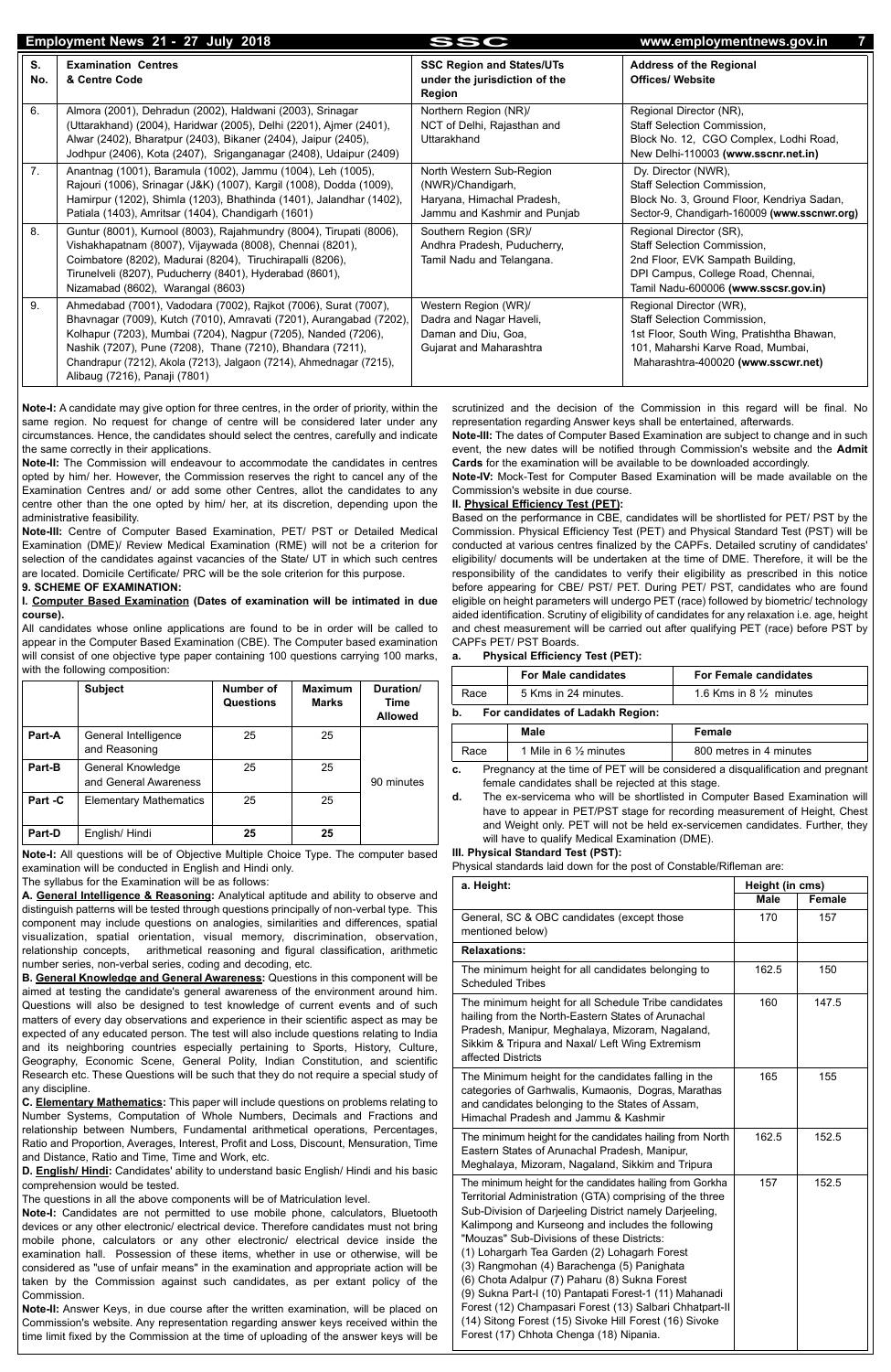**Note-I:** A candidate may give option for three centres, in the order of priority, within the same region. No request for change of centre will be considered later under any circumstances. Hence, the candidates should select the centres, carefully and indicate the same correctly in their applications.

**Note-II:** The Commission will endeavour to accommodate the candidates in centres opted by him/ her. However, the Commission reserves the right to cancel any of the Examination Centres and/ or add some other Centres, allot the candidates to any centre other than the one opted by him/ her, at its discretion, depending upon the administrative feasibility.

**Note-III:** Centre of Computer Based Examination, PET/ PST or Detailed Medical Examination (DME)/ Review Medical Examination (RME) will not be a criterion for selection of the candidates against vacancies of the State/ UT in which such centres are located. Domicile Certificate/ PRC will be the sole criterion for this purpose.

#### **9. SCHEME OF EXAMINATION:**

#### **I. Computer Based Examination (Dates of examination will be intimated in due course).**

All candidates whose online applications are found to be in order will be called to appear in the Computer Based Examination (CBE). The Computer based examination will consist of one objective type paper containing 100 questions carrying 100 marks, with the following composition:

|         | <b>Subject</b>                             | Number of<br>Questions | <b>Maximum</b><br><b>Marks</b> | Duration/<br>Time<br><b>Allowed</b> |
|---------|--------------------------------------------|------------------------|--------------------------------|-------------------------------------|
| Part-A  | General Intelligence<br>and Reasoning      | 25                     | 25                             |                                     |
| Part-B  | General Knowledge<br>and General Awareness | 25                     | 25                             | 90 minutes                          |
| Part -C | <b>Elementary Mathematics</b>              | 25                     | 25                             |                                     |
| Part-D  | English/Hindi                              | 25                     | 25                             |                                     |

**Note-I:** All questions will be of Objective Multiple Choice Type. The computer based examination will be conducted in English and Hindi only.

The syllabus for the Examination will be as follows:

**A. General Intelligence & Reasoning:** Analytical aptitude and ability to observe and distinguish patterns will be tested through questions principally of non-verbal type. This component may include questions on analogies, similarities and differences, spatial visualization, spatial orientation, visual memory, discrimination, observation, relationship concepts, arithmetical reasoning and figural classification, arithmetic number series, non-verbal series, coding and decoding, etc.

**B. General Knowledge and General Awareness:** Questions in this component will be aimed at testing the candidate's general awareness of the environment around him. Questions will also be designed to test knowledge of current events and of such matters of every day observations and experience in their scientific aspect as may be expected of any educated person. The test will also include questions relating to India and its neighboring countries especially pertaining to Sports, History, Culture, Geography, Economic Scene, General Polity, Indian Constitution, and scientific Research etc. These Questions will be such that they do not require a special study of

|           | Employment News 21 - 27 July 2018                                                                                                                                                                                                                                                                                                                                             | SSC                                                                                                         | www.employmentnews.gov.in                                                                                                                                                      |
|-----------|-------------------------------------------------------------------------------------------------------------------------------------------------------------------------------------------------------------------------------------------------------------------------------------------------------------------------------------------------------------------------------|-------------------------------------------------------------------------------------------------------------|--------------------------------------------------------------------------------------------------------------------------------------------------------------------------------|
| S.<br>No. | <b>Examination Centres</b><br>& Centre Code                                                                                                                                                                                                                                                                                                                                   | <b>SSC Region and States/UTs</b><br>under the jurisdiction of the<br>Region                                 | <b>Address of the Regional</b><br><b>Offices/ Website</b>                                                                                                                      |
| 6.        | Almora (2001), Dehradun (2002), Haldwani (2003), Srinagar<br>(Uttarakhand) (2004), Haridwar (2005), Delhi (2201), Ajmer (2401),<br>Alwar (2402), Bharatpur (2403), Bikaner (2404), Jaipur (2405),<br>Jodhpur (2406), Kota (2407), Sriganganagar (2408), Udaipur (2409)                                                                                                        | Northern Region (NR)/<br>NCT of Delhi, Rajasthan and<br>Uttarakhand                                         | Regional Director (NR),<br>Staff Selection Commission,<br>Block No. 12, CGO Complex, Lodhi Road,<br>New Delhi-110003 (www.sscnr.net.in)                                        |
| 7.        | Anantnag (1001), Baramula (1002), Jammu (1004), Leh (1005),<br>Rajouri (1006), Srinagar (J&K) (1007), Kargil (1008), Dodda (1009),<br>Hamirpur (1202), Shimla (1203), Bhathinda (1401), Jalandhar (1402),<br>Patiala (1403), Amritsar (1404), Chandigarh (1601)                                                                                                               | North Western Sub-Region<br>(NWR)/Chandigarh,<br>Haryana, Himachal Pradesh,<br>Jammu and Kashmir and Punjab | Dy. Director (NWR),<br>Staff Selection Commission,<br>Block No. 3, Ground Floor, Kendriya Sadan,<br>Sector-9, Chandigarh-160009 (www.sscnwr.org)                               |
| 8.        | Guntur (8001), Kurnool (8003), Rajahmundry (8004), Tirupati (8006),<br>Vishakhapatnam (8007), Vijaywada (8008), Chennai (8201),<br>Coimbatore (8202), Madurai (8204), Tiruchirapalli (8206),<br>Tirunelveli (8207), Puducherry (8401), Hyderabad (8601),<br>Nizamabad (8602), Warangal (8603)                                                                                 | Southern Region (SR)/<br>Andhra Pradesh, Puducherry,<br>Tamil Nadu and Telangana.                           | Regional Director (SR),<br>Staff Selection Commission,<br>2nd Floor, EVK Sampath Building,<br>DPI Campus, College Road, Chennai,<br>Tamil Nadu-600006 (www.sscsr.gov.in)       |
| 9.        | Ahmedabad (7001), Vadodara (7002), Rajkot (7006), Surat (7007),<br>Bhavnagar (7009), Kutch (7010), Amravati (7201), Aurangabad (7202),<br>Kolhapur (7203), Mumbai (7204), Nagpur (7205), Nanded (7206),<br>Nashik (7207), Pune (7208), Thane (7210), Bhandara (7211),<br>Chandrapur (7212), Akola (7213), Jalgaon (7214), Ahmednagar (7215),<br>Alibaug (7216), Panaji (7801) | Western Region (WR)/<br>Dadra and Nagar Haveli,<br>Daman and Diu, Goa,<br>Gujarat and Maharashtra           | Regional Director (WR),<br>Staff Selection Commission,<br>1st Floor, South Wing, Pratishtha Bhawan,<br>101, Maharshi Karve Road, Mumbai,<br>Maharashtra-400020 (www.sscwr.net) |

any discipline.

**C. Elementary Mathematics:** This paper will include questions on problems relating to Number Systems, Computation of Whole Numbers, Decimals and Fractions and relationship between Numbers, Fundamental arithmetical operations, Percentages, Ratio and Proportion, Averages, Interest, Profit and Loss, Discount, Mensuration, Time and Distance, Ratio and Time, Time and Work, etc.

**D. English/ Hindi:** Candidates' ability to understand basic English/ Hindi and his basic comprehension would be tested.

The questions in all the above components will be of Matriculation level.

**Note-I:** Candidates are not permitted to use mobile phone, calculators, Bluetooth devices or any other electronic/ electrical device. Therefore candidates must not bring mobile phone, calculators or any other electronic/ electrical device inside the examination hall. Possession of these items, whether in use or otherwise, will be considered as "use of unfair means" in the examination and appropriate action will be taken by the Commission against such candidates, as per extant policy of the Commission.

**Note-II:** Answer Keys, in due course after the written examination, will be placed on Commission's website. Any representation regarding answer keys received within the time limit fixed by the Commission at the time of uploading of the answer keys will be scrutinized and the decision of the Commission in this regard will be final. No representation regarding Answer keys shall be entertained, afterwards.

**Note-III:** The dates of Computer Based Examination are subject to change and in such event, the new dates will be notified through Commission's website and the **Admit Cards** for the examination will be available to be downloaded accordingly.

**Note-IV:** Mock-Test for Computer Based Examination will be made available on the Commission's website in due course.

#### **II. Physical Efficiency Test (PET):**

Based on the performance in CBE, candidates will be shortlisted for PET/ PST by the Commission. Physical Efficiency Test (PET) and Physical Standard Test (PST) will be conducted at various centres finalized by the CAPFs. Detailed scrutiny of candidates' eligibility/ documents will be undertaken at the time of DME. Therefore, it will be the responsibility of the candidates to verify their eligibility as prescribed in this notice before appearing for CBE/ PST/ PET. During PET/ PST, candidates who are found eligible on height parameters will undergo PET (race) followed by biometric/ technology aided identification. Scrutiny of eligibility of candidates for any relaxation i.e. age, height and chest measurement will be carried out after qualifying PET (race) before PST by CAPFs PET/ PST Boards.

#### **a. Physical Efficiency Test (PET):**

|                                                                                       | <b>For Male candidates</b> | <b>For Female candidates</b>       |  |  |  |
|---------------------------------------------------------------------------------------|----------------------------|------------------------------------|--|--|--|
| Race                                                                                  | 5 Kms in 24 minutes.       | 1.6 Kms in 8 $\frac{1}{2}$ minutes |  |  |  |
| b.<br>For candidates of Ladakh Region:                                                |                            |                                    |  |  |  |
|                                                                                       | <b>Male</b>                | <b>Female</b>                      |  |  |  |
| 800 metres in 4 minutes<br>1 Mile in 6 $\frac{1}{2}$ minutes<br>Race                  |                            |                                    |  |  |  |
| Pregnancy at the time of PET will be considered a disqualification and pregnant<br>c. |                            |                                    |  |  |  |

female candidates shall be rejected at this stage.

**d.** The ex-servicema who will be shortlisted in Computer Based Examination will have to appear in PET/PST stage for recording measurement of Height, Chest and Weight only. PET will not be held ex-servicemen candidates. Further, they will have to qualify Medical Examination (DME).

#### **III. Physical Standard Test (PST):**

Physical standards laid down for the post of Constable/Rifleman are:

| a. Height:                                                                                                                                                                                                                                                                                                                                                                                                                                                                                                                                                                                                                                                  |       | Height (in cms) |  |  |  |
|-------------------------------------------------------------------------------------------------------------------------------------------------------------------------------------------------------------------------------------------------------------------------------------------------------------------------------------------------------------------------------------------------------------------------------------------------------------------------------------------------------------------------------------------------------------------------------------------------------------------------------------------------------------|-------|-----------------|--|--|--|
|                                                                                                                                                                                                                                                                                                                                                                                                                                                                                                                                                                                                                                                             | Male  | <b>Female</b>   |  |  |  |
| General, SC & OBC candidates (except those<br>mentioned below)                                                                                                                                                                                                                                                                                                                                                                                                                                                                                                                                                                                              | 170   | 157             |  |  |  |
| <b>Relaxations:</b>                                                                                                                                                                                                                                                                                                                                                                                                                                                                                                                                                                                                                                         |       |                 |  |  |  |
| The minimum height for all candidates belonging to<br><b>Scheduled Tribes</b>                                                                                                                                                                                                                                                                                                                                                                                                                                                                                                                                                                               | 162.5 | 150             |  |  |  |
| The minimum height for all Schedule Tribe candidates<br>hailing from the North-Eastern States of Arunachal<br>Pradesh, Manipur, Meghalaya, Mizoram, Nagaland,<br>Sikkim & Tripura and Naxal/ Left Wing Extremism<br>affected Districts                                                                                                                                                                                                                                                                                                                                                                                                                      | 160   | 147.5           |  |  |  |
| The Minimum height for the candidates falling in the<br>categories of Garhwalis, Kumaonis, Dogras, Marathas<br>and candidates belonging to the States of Assam,<br>Himachal Pradesh and Jammu & Kashmir                                                                                                                                                                                                                                                                                                                                                                                                                                                     | 165   | 155             |  |  |  |
| The minimum height for the candidates hailing from North<br>Eastern States of Arunachal Pradesh, Manipur,<br>Meghalaya, Mizoram, Nagaland, Sikkim and Tripura                                                                                                                                                                                                                                                                                                                                                                                                                                                                                               | 162.5 | 152.5           |  |  |  |
| The minimum height for the candidates hailing from Gorkha<br>Territorial Administration (GTA) comprising of the three<br>Sub-Division of Darjeeling District namely Darjeeling,<br>Kalimpong and Kurseong and includes the following<br>"Mouzas" Sub-Divisions of these Districts:<br>(1) Lohargarh Tea Garden (2) Lohagarh Forest<br>(3) Rangmohan (4) Barachenga (5) Panighata<br>(6) Chota Adalpur (7) Paharu (8) Sukna Forest<br>(9) Sukna Part-I (10) Pantapati Forest-1 (11) Mahanadi<br>Forest (12) Champasari Forest (13) Salbari Chhatpart-II<br>(14) Sitong Forest (15) Sivoke Hill Forest (16) Sivoke<br>Forest (17) Chhota Chenga (18) Nipania. | 157   | 152.5           |  |  |  |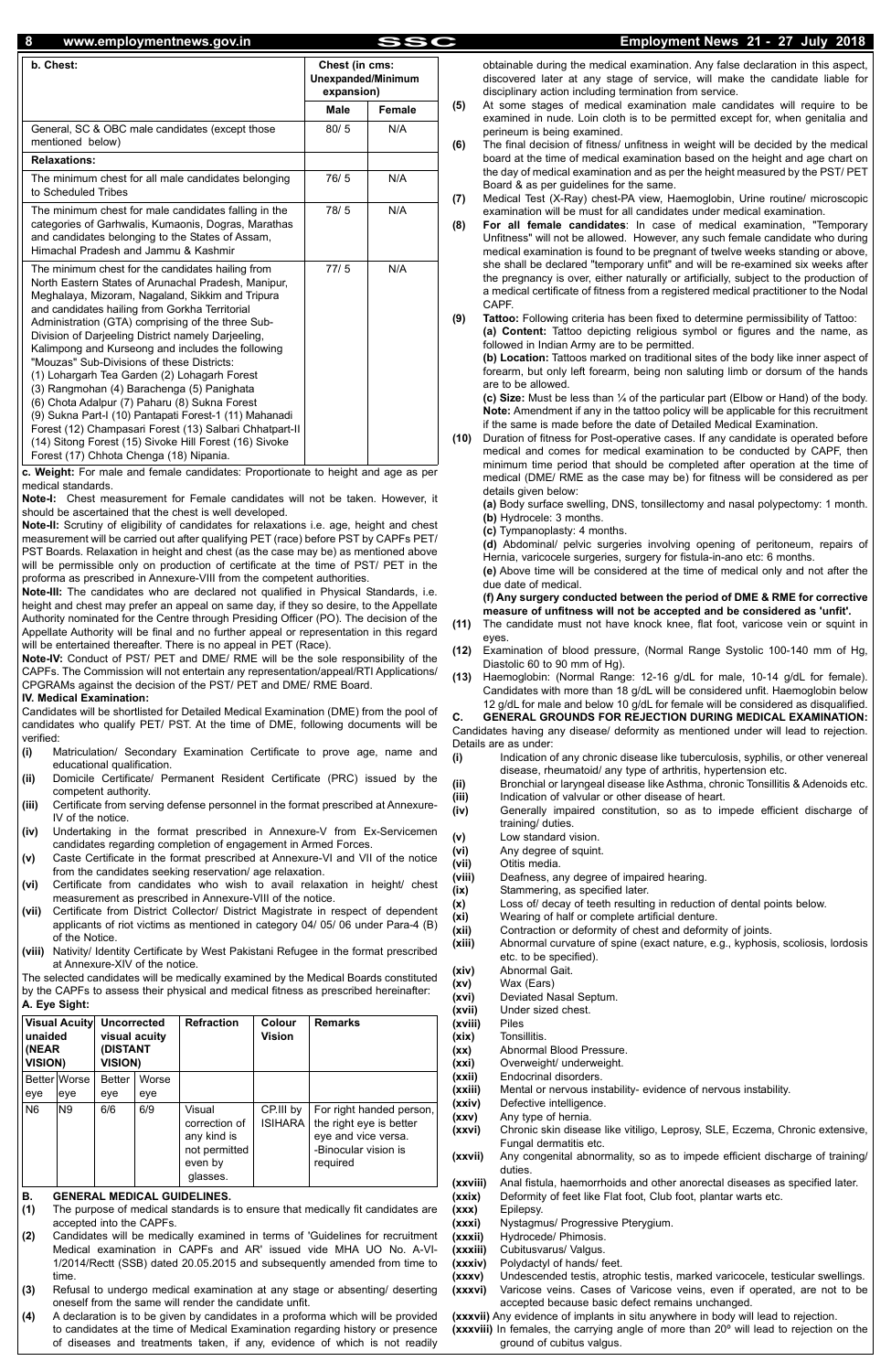| b. Chest:                                                                                                                                                                                                                                                                                                                                                                                                                                                                                                                                                                                                                                                                                                                                                                                             | Chest (in cms:<br>Unexpanded/Minimum<br>expansion) |        |  |
|-------------------------------------------------------------------------------------------------------------------------------------------------------------------------------------------------------------------------------------------------------------------------------------------------------------------------------------------------------------------------------------------------------------------------------------------------------------------------------------------------------------------------------------------------------------------------------------------------------------------------------------------------------------------------------------------------------------------------------------------------------------------------------------------------------|----------------------------------------------------|--------|--|
|                                                                                                                                                                                                                                                                                                                                                                                                                                                                                                                                                                                                                                                                                                                                                                                                       | <b>Male</b>                                        | Female |  |
| General, SC & OBC male candidates (except those<br>mentioned below)                                                                                                                                                                                                                                                                                                                                                                                                                                                                                                                                                                                                                                                                                                                                   | 80/5                                               | N/A    |  |
| <b>Relaxations:</b>                                                                                                                                                                                                                                                                                                                                                                                                                                                                                                                                                                                                                                                                                                                                                                                   |                                                    |        |  |
| The minimum chest for all male candidates belonging<br>to Scheduled Tribes                                                                                                                                                                                                                                                                                                                                                                                                                                                                                                                                                                                                                                                                                                                            | 76/5                                               | N/A    |  |
| The minimum chest for male candidates falling in the<br>categories of Garhwalis, Kumaonis, Dogras, Marathas<br>and candidates belonging to the States of Assam,<br>Himachal Pradesh and Jammu & Kashmir                                                                                                                                                                                                                                                                                                                                                                                                                                                                                                                                                                                               | 78/5                                               | N/A    |  |
| The minimum chest for the candidates hailing from<br>North Eastern States of Arunachal Pradesh, Manipur,<br>Meghalaya, Mizoram, Nagaland, Sikkim and Tripura<br>and candidates hailing from Gorkha Territorial<br>Administration (GTA) comprising of the three Sub-<br>Division of Darjeeling District namely Darjeeling,<br>Kalimpong and Kurseong and includes the following<br>"Mouzas" Sub-Divisions of these Districts:<br>(1) Lohargarh Tea Garden (2) Lohagarh Forest<br>(3) Rangmohan (4) Barachenga (5) Panighata<br>(6) Chota Adalpur (7) Paharu (8) Sukna Forest<br>(9) Sukna Part-I (10) Pantapati Forest-1 (11) Mahanadi<br>Forest (12) Champasari Forest (13) Salbari Chhatpart-II<br>(14) Sitong Forest (15) Sivoke Hill Forest (16) Sivoke<br>Forest (17) Chhota Chenga (18) Nipania. | 77/5                                               | N/A    |  |

**c. Weight:** For male and female candidates: Proportionate to height and age as per medical standards.

**Note-I:** Chest measurement for Female candidates will not be taken. However, it should be ascertained that the chest is well developed.

**Note-II:** Scrutiny of eligibility of candidates for relaxations i.e. age, height and chest measurement will be carried out after qualifying PET (race) before PST by CAPFs PET/ PST Boards. Relaxation in height and chest (as the case may be) as mentioned above will be permissible only on production of certificate at the time of PST/ PET in the proforma as prescribed in Annexure-VIII from the competent authorities.

**Note-III:** The candidates who are declared not qualified in Physical Standards, i.e. height and chest may prefer an appeal on same day, if they so desire, to the Appellate Authority nominated for the Centre through Presiding Officer (PO). The decision of the Appellate Authority will be final and no further appeal or representation in this regard will be entertained thereafter. There is no appeal in PET (Race).

**Note-IV:** Conduct of PST/ PET and DME/ RME will be the sole responsibility of the CAPFs. The Commission will not entertain any representation/appeal/RTI Applications/ CPGRAMs against the decision of the PST/ PET and DME/ RME Board.

**IV. Medical Examination:** 

Candidates will be shortlisted for Detailed Medical Examination (DME) from the pool of candidates who qualify PET/ PST. At the time of DME, following documents will be verified:

- **(i)** Matriculation/ Secondary Examination Certificate to prove age, name and educational qualification.
- **(ii)** Domicile Certificate/ Permanent Resident Certificate (PRC) issued by the competent authority.
- **(iii)** Certificate from serving defense personnel in the format prescribed at Annexure-IV of the notice.
- **(iv)** Undertaking in the format prescribed in Annexure-V from Ex-Servicemen candidates regarding completion of engagement in Armed Forces.
- **(v)** Caste Certificate in the format prescribed at Annexure-VI and VII of the notice from the candidates seeking reservation/ age relaxation.
- Certificate from candidates who wish to avail relaxation in height/ chest measurement as prescribed in Annexure-VIII of the notice.
- **(vii)** Certificate from District Collector/ District Magistrate in respect of dependent applicants of riot victims as mentioned in category 04/ 05/ 06 under Para-4 (B) of the Notice.
- **(viii)** Nativity/ Identity Certificate by West Pakistani Refugee in the format prescribed at Annexure-XIV of the notice.

The selected candidates will be medically examined by the Medical Boards constituted by the CAPFs to assess their physical and medical fitness as prescribed hereinafter: **A. Eye Sight:** 

| <b>Visual Acuity</b><br>unaided<br>(NEAR)<br><b>VISION)</b> |                      | <b>Uncorrected</b><br>visual acuity<br><b>DISTANT</b><br><b>VISION)</b> |              | <b>Refraction</b>                                                              | Colour<br><b>Vision</b>     | <b>Remarks</b>                                                                                                 |
|-------------------------------------------------------------|----------------------|-------------------------------------------------------------------------|--------------|--------------------------------------------------------------------------------|-----------------------------|----------------------------------------------------------------------------------------------------------------|
| eye                                                         | Better Worse<br>leye | <b>Better</b><br>eye                                                    | Worse<br>eye |                                                                                |                             |                                                                                                                |
| <b>N6</b>                                                   | N9                   | 6/6                                                                     | 6/9          | Visual<br>correction of<br>any kind is<br>not permitted<br>even by<br>glasses. | CP.III by<br><b>ISIHARA</b> | For right handed person,<br>the right eye is better<br>eye and vice versa.<br>-Binocular vision is<br>required |

#### **B. GENERAL MEDICAL GUIDELINES.**

- **(1)** The purpose of medical standards is to ensure that medically fit candidates are accepted into the CAPFs.
- **(2)** Candidates will be medically examined in terms of 'Guidelines for recruitment Medical examination in CAPFs and AR' issued vide MHA UO No. A-VI-1/2014/Rectt (SSB) dated 20.05.2015 and subsequently amended from time to time.
- **(3)** Refusal to undergo medical examination at any stage or absenting/ deserting oneself from the same will render the candidate unfit.
- **(4)** A declaration is to be given by candidates in a proforma which will be provided to candidates at the time of Medical Examination regarding history or presence of diseases and treatments taken, if any, evidence of which is not readily

obtainable during the medical examination. Any false declaration in this aspect, discovered later at any stage of service, will make the candidate liable for disciplinary action including termination from service.

- **(5)** At some stages of medical examination male candidates will require to be examined in nude. Loin cloth is to be permitted except for, when genitalia and perineum is being examined.
- **(6)** The final decision of fitness/ unfitness in weight will be decided by the medical board at the time of medical examination based on the height and age chart on the day of medical examination and as per the height measured by the PST/ PET Board & as per guidelines for the same.
- **(7)** Medical Test (X-Ray) chest-PA view, Haemoglobin, Urine routine/ microscopic examination will be must for all candidates under medical examination.
- **(8) For all female candidates**: In case of medical examination, "Temporary Unfitness" will not be allowed. However, any such female candidate who during medical examination is found to be pregnant of twelve weeks standing or above, she shall be declared "temporary unfit" and will be re-examined six weeks after the pregnancy is over, either naturally or artificially, subject to the production of a medical certificate of fitness from a registered medical practitioner to the Nodal CAPF.
- **(9) Tattoo:** Following criteria has been fixed to determine permissibility of Tattoo: **(a) Content:** Tattoo depicting religious symbol or figures and the name, as followed in Indian Army are to be permitted.

**(b) Location:** Tattoos marked on traditional sites of the body like inner aspect of forearm, but only left forearm, being non saluting limb or dorsum of the hands are to be allowed.

**(c) Size:** Must be less than ¼ of the particular part (Elbow or Hand) of the body. **Note:** Amendment if any in the tattoo policy will be applicable for this recruitment if the same is made before the date of Detailed Medical Examination.

**(10)** Duration of fitness for Post-operative cases. If any candidate is operated before medical and comes for medical examination to be conducted by CAPF, then minimum time period that should be completed after operation at the time of medical (DME/ RME as the case may be) for fitness will be considered as per details given below:

**(a)** Body surface swelling, DNS, tonsillectomy and nasal polypectomy: 1 month. **(b)** Hydrocele: 3 months.

**(c)** Tympanoplasty: 4 months.

**(d)** Abdominal/ pelvic surgeries involving opening of peritoneum, repairs of Hernia, varicocele surgeries, surgery for fistula-in-ano etc: 6 months.

**(e)** Above time will be considered at the time of medical only and not after the due date of medical.

**(f) Any surgery conducted between the period of DME & RME for corrective measure of unfitness will not be accepted and be considered as 'unfit'.**

- **(11)** The candidate must not have knock knee, flat foot, varicose vein or squint in eyes.
- **(12)** Examination of blood pressure, (Normal Range Systolic 100-140 mm of Hg, Diastolic 60 to 90 mm of Hg).
- **(13)** Haemoglobin: (Normal Range: 12-16 g/dL for male, 10-14 g/dL for female). Candidates with more than 18 g/dL will be considered unfit. Haemoglobin below 12 g/dL for male and below 10 g/dL for female will be considered as disqualified.

**C. GENERAL GROUNDS FOR REJECTION DURING MEDICAL EXAMINATION:** Candidates having any disease/ deformity as mentioned under will lead to rejection. Details are as under:

- **(i)** Indication of any chronic disease like tuberculosis, syphilis, or other venereal disease, rheumatoid/ any type of arthritis, hypertension etc.
- **(ii)** Bronchial or laryngeal disease like Asthma, chronic Tonsillitis & Adenoids etc.
- **(iii)** Indication of valvular or other disease of heart.
- **(iv)** Generally impaired constitution, so as to impede efficient discharge of training/ duties.
- **(v)** Low standard vision.
- **(vi)** Any degree of squint.
- **(vii)** Otitis media.
- **(viii)** Deafness, any degree of impaired hearing.
- **(ix)** Stammering, as specified later.
- **(x)** Loss of/ decay of teeth resulting in reduction of dental points below.
- **(xi)** Wearing of half or complete artificial denture.
- **(xii)** Contraction or deformity of chest and deformity of joints.
- **(xiii)** Abnormal curvature of spine (exact nature, e.g., kyphosis, scoliosis, lordosis etc. to be specified).
- **(xiv)** Abnormal Gait.
- **(xv)** Wax (Ears)
- **(xvi)** Deviated Nasal Septum.
- **(xvii)** Under sized chest.
- **(xviii)** Piles **(xix)** Tonsillitis.
- **(xx)** Abnormal Blood Pressure.
- **(xxi)** Overweight/ underweight.
- **(xxii)** Endocrinal disorders.

**(xxiii)** Mental or nervous instability- evidence of nervous instability.

**(xxiv)** Defective intelligence.

**(xxv)** Any type of hernia.

- **(xxvi)** Chronic skin disease like vitiligo, Leprosy, SLE, Eczema, Chronic extensive, Fungal dermatitis etc.
- **(xxvii)** Any congenital abnormality, so as to impede efficient discharge of training/ duties.

**(xxviii)** Anal fistula, haemorrhoids and other anorectal diseases as specified later.

**(xxix)** Deformity of feet like Flat foot, Club foot, plantar warts etc.

**(xxx)** Epilepsy.

- **(xxxi)** Nystagmus/ Progressive Pterygium.
- **(xxxii)** Hydrocede/ Phimosis.
- **(xxxiii)** Cubitusvarus/ Valgus.
- **(xxxiv)** Polydactyl of hands/ feet.
- **(xxxv)** Undescended testis, atrophic testis, marked varicocele, testicular swellings.
- **(xxxvi)** Varicose veins. Cases of Varicose veins, even if operated, are not to be accepted because basic defect remains unchanged.

**(xxxvii)** Any evidence of implants in situ anywhere in body will lead to rejection. **(xxxviii)** In females, the carrying angle of more than 20º will lead to rejection on the ground of cubitus valgus.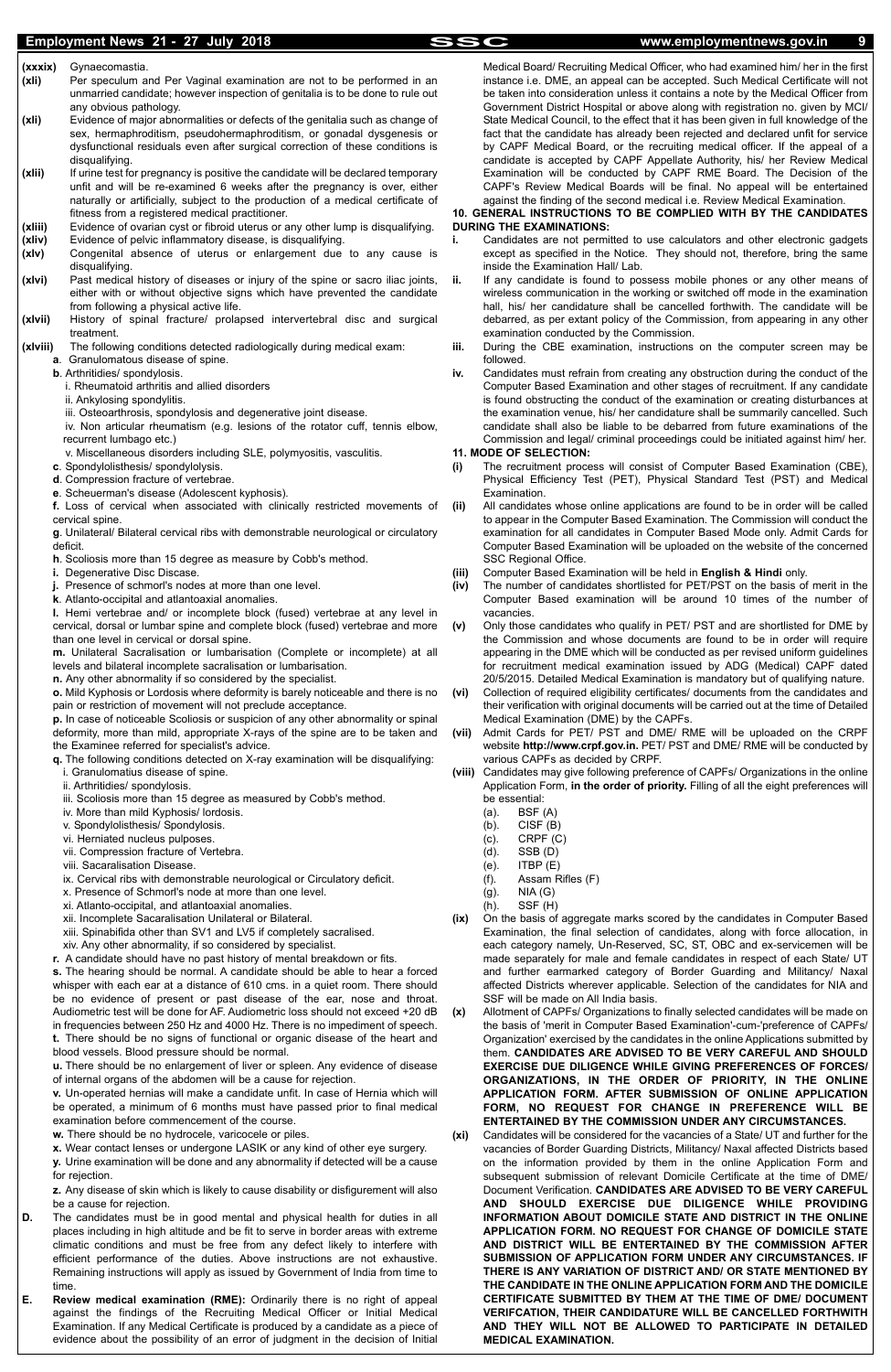### Employment News 21 - 27 July 2018 **SSC** www.employmentnews.gov.in

- **(xxxix)** Gynaecomastia. **(xli)** Per speculum and Per Vaginal examination are not to be performed in an unmarried candidate; however inspection of genitalia is to be done to rule out any obvious pathology.
- **(xli)** Evidence of major abnormalities or defects of the genitalia such as change of sex, hermaphroditism, pseudohermaphroditism, or gonadal dysgenesis or dysfunctional residuals even after surgical correction of these conditions is disqualifying.
- **(xlii)** If urine test for pregnancy is positive the candidate will be declared temporary unfit and will be re-examined 6 weeks after the pregnancy is over, either naturally or artificially, subject to the production of a medical certificate of fitness from a registered medical practitioner.
- **(xliii)** Evidence of ovarian cyst or fibroid uterus or any other lump is disqualifying.
- **(xliv)** Evidence of pelvic inflammatory disease, is disqualifying.
- **(xlv)** Congenital absence of uterus or enlargement due to any cause is disqualifying.
- **(xlvi)** Past medical history of diseases or injury of the spine or sacro iliac joints, either with or without objective signs which have prevented the candidate from following a physical active life.
- **(xlvii)** History of spinal fracture/ prolapsed intervertebral disc and surgical treatment.
- **(xlviii)** The following conditions detected radiologically during medical exam:
	- **a**. Granulomatous disease of spine.
	- **b**. Arthritidies/ spondylosis.
		- i. Rheumatoid arthritis and allied disorders
		- ii. Ankylosing spondylitis.
		- iii. Osteoarthrosis, spondylosis and degenerative joint disease.
	- iv. Non articular rheumatism (e.g. lesions of the rotator cuff, tennis elbow, recurrent lumbago etc.)
	- v. Miscellaneous disorders including SLE, polymyositis, vasculitis.
	- **c**. Spondylolisthesis/ spondylolysis.
	- **d**. Compression fracture of vertebrae.
	- **e**. Scheuerman's disease (Adolescent kyphosis).
	- **f.** Loss of cervical when associated with clinically restricted movements of cervical spine.
	- **g**. Unilateral/ Bilateral cervical ribs with demonstrable neurological or circulatory deficit.
	- **h**. Scoliosis more than 15 degree as measure by Cobb's method.
	- **i.** Degenerative Disc Discase.
	- **j.** Presence of schmorl's nodes at more than one level.
	- **k**. Atlanto-occipital and atlantoaxial anomalies.
	- **l.** Hemi vertebrae and/ or incomplete block (fused) vertebrae at any level in cervical, dorsal or lumbar spine and complete block (fused) vertebrae and more than one level in cervical or dorsal spine.
	- **m.** Unilateral Sacralisation or lumbarisation (Complete or incomplete) at all levels and bilateral incomplete sacralisation or lumbarisation.
	- **n.** Any other abnormality if so considered by the specialist.
	- **o.** Mild Kyphosis or Lordosis where deformity is barely noticeable and there is no pain or restriction of movement will not preclude acceptance.
	- **p.** In case of noticeable Scoliosis or suspicion of any other abnormality or spinal deformity, more than mild, appropriate X-rays of the spine are to be taken and the Examinee referred for specialist's advice.
	- **q.** The following conditions detected on X-ray examination will be disqualifying:
		- i. Granulomatius disease of spine.
		- ii. Arthritidies/ spondylosis.
		- iii. Scoliosis more than 15 degree as measured by Cobb's method.
		- iv. More than mild Kyphosis/ lordosis.
		- v. Spondylolisthesis/ Spondylosis.
		- vi. Herniated nucleus pulposes.
		- vii. Compression fracture of Vertebra.
		- viii. Sacaralisation Disease.
		- ix. Cervical ribs with demonstrable neurological or Circulatory deficit.
		- x. Presence of Schmorl's node at more than one level.
		- xi. Atlanto-occipital, and atlantoaxial anomalies.
		- xii. Incomplete Sacaralisation Unilateral or Bilateral.
		- xiii. Spinabifida other than SV1 and LV5 if completely sacralised.
	- xiv. Any other abnormality, if so considered by specialist.
	- **r.** A candidate should have no past history of mental breakdown or fits.

**x.** Wear contact lenses or undergone LASIK or any kind of other eye surgery. **y.** Urine examination will be done and any abnormality if detected will be a cause for rejection.

- **i.** Candidates are not permitted to use calculators and other electronic gadgets except as specified in the Notice. They should not, therefore, bring the same inside the Examination Hall/ Lab.
- **ii.** If any candidate is found to possess mobile phones or any other means of wireless communication in the working or switched off mode in the examination hall, his/ her candidature shall be cancelled forthwith. The candidate will be debarred, as per extant policy of the Commission, from appearing in any other examination conducted by the Commission.
- **iii.** During the CBE examination, instructions on the computer screen may be followed.
- **iv.** Candidates must refrain from creating any obstruction during the conduct of the Computer Based Examination and other stages of recruitment. If any candidate is found obstructing the conduct of the examination or creating disturbances at the examination venue, his/ her candidature shall be summarily cancelled. Such candidate shall also be liable to be debarred from future examinations of the Commission and legal/ criminal proceedings could be initiated against him/ her.

**s.** The hearing should be normal. A candidate should be able to hear a forced whisper with each ear at a distance of 610 cms. in a quiet room. There should be no evidence of present or past disease of the ear, nose and throat. Audiometric test will be done for AF. Audiometric loss should not exceed +20 dB in frequencies between 250 Hz and 4000 Hz. There is no impediment of speech. **t.** There should be no signs of functional or organic disease of the heart and blood vessels. Blood pressure should be normal.

**u.** There should be no enlargement of liver or spleen. Any evidence of disease of internal organs of the abdomen will be a cause for rejection.

**v.** Un-operated hernias will make a candidate unfit. In case of Hernia which will be operated, a minimum of 6 months must have passed prior to final medical examination before commencement of the course.

**w.** There should be no hydrocele, varicocele or piles.

**z.** Any disease of skin which is likely to cause disability or disfigurement will also be a cause for rejection.

- **D.** The candidates must be in good mental and physical health for duties in all places including in high altitude and be fit to serve in border areas with extreme climatic conditions and must be free from any defect likely to interfere with efficient performance of the duties. Above instructions are not exhaustive. Remaining instructions will apply as issued by Government of India from time to time.
- **E. Review medical examination (RME):** Ordinarily there is no right of appeal against the findings of the Recruiting Medical Officer or Initial Medical Examination. If any Medical Certificate is produced by a candidate as a piece of evidence about the possibility of an error of judgment in the decision of Initial

Medical Board/ Recruiting Medical Officer, who had examined him/ her in the first instance i.e. DME, an appeal can be accepted. Such Medical Certificate will not be taken into consideration unless it contains a note by the Medical Officer from Government District Hospital or above along with registration no. given by MCI/ State Medical Council, to the effect that it has been given in full knowledge of the fact that the candidate has already been rejected and declared unfit for service by CAPF Medical Board, or the recruiting medical officer. If the appeal of a candidate is accepted by CAPF Appellate Authority, his/ her Review Medical Examination will be conducted by CAPF RME Board. The Decision of the CAPF's Review Medical Boards will be final. No appeal will be entertained against the finding of the second medical i.e. Review Medical Examination.

#### **10. GENERAL INSTRUCTIONS TO BE COMPLIED WITH BY THE CANDIDATES DURING THE EXAMINATIONS:**

#### **11. MODE OF SELECTION:**

- **(i)** The recruitment process will consist of Computer Based Examination (CBE), Physical Efficiency Test (PET), Physical Standard Test (PST) and Medical Examination.
- **(ii)** All candidates whose online applications are found to be in order will be called to appear in the Computer Based Examination. The Commission will conduct the examination for all candidates in Computer Based Mode only. Admit Cards for Computer Based Examination will be uploaded on the website of the concerned SSC Regional Office.
- **(iii)** Computer Based Examination will be held in **English & Hindi** only.
- **(iv)** The number of candidates shortlisted for PET/PST on the basis of merit in the Computer Based examination will be around 10 times of the number of vacancies.
- **(v)** Only those candidates who qualify in PET/ PST and are shortlisted for DME by the Commission and whose documents are found to be in order will require appearing in the DME which will be conducted as per revised uniform guidelines for recruitment medical examination issued by ADG (Medical) CAPF dated 20/5/2015. Detailed Medical Examination is mandatory but of qualifying nature.
- **(vi)** Collection of required eligibility certificates/ documents from the candidates and their verification with original documents will be carried out at the time of Detailed Medical Examination (DME) by the CAPFs.
- **(vii)** Admit Cards for PET/ PST and DME/ RME will be uploaded on the CRPF website **http://www.crpf.gov.in.** PET/ PST and DME/ RME will be conducted by various CAPFs as decided by CRPF.
- **(viii)** Candidates may give following preference of CAPFs/ Organizations in the online Application Form, **in the order of priority.** Filling of all the eight preferences will be essential:
	- (a). BSF (A)
	- (b). CISF (B)
	- (c). CRPF (C)
	- (d). SSB (D)
	- (e). ITBP (E)
	- (f). Assam Rifles (F)
	- (g). NIA (G)
	- (h). SSF (H)
- **(ix)** On the basis of aggregate marks scored by the candidates in Computer Based Examination, the final selection of candidates, along with force allocation, in each category namely, Un-Reserved, SC, ST, OBC and ex-servicemen will be made separately for male and female candidates in respect of each State/ UT and further earmarked category of Border Guarding and Militancy/ Naxal affected Districts wherever applicable. Selection of the candidates for NIA and SSF will be made on All India basis.
- **(x)** Allotment of CAPFs/ Organizations to finally selected candidates will be made on the basis of 'merit in Computer Based Examination'-cum-'preference of CAPFs/ Organization' exercised by the candidates in the online Applications submitted by them. **CANDIDATES ARE ADVISED TO BE VERY CAREFUL AND SHOULD EXERCISE DUE DILIGENCE WHILE GIVING PREFERENCES OF FORCES/ ORGANIZATIONS, IN THE ORDER OF PRIORITY, IN THE ONLINE**

#### **APPLICATION FORM. AFTER SUBMISSION OF ONLINE APPLICATION FORM, NO REQUEST FOR CHANGE IN PREFERENCE WILL BE ENTERTAINED BY THE COMMISSION UNDER ANY CIRCUMSTANCES.**

**(xi)** Candidates will be considered for the vacancies of a State/ UT and further for the vacancies of Border Guarding Districts, Militancy/ Naxal affected Districts based on the information provided by them in the online Application Form and subsequent submission of relevant Domicile Certificate at the time of DME/ Document Verification. **CANDIDATES ARE ADVISED TO BE VERY CAREFUL AND SHOULD EXERCISE DUE DILIGENCE WHILE PROVIDING INFORMATION ABOUT DOMICILE STATE AND DISTRICT IN THE ONLINE APPLICATION FORM. NO REQUEST FOR CHANGE OF DOMICILE STATE AND DISTRICT WILL BE ENTERTAINED BY THE COMMISSION AFTER SUBMISSION OF APPLICATION FORM UNDER ANY CIRCUMSTANCES. IF THERE IS ANY VARIATION OF DISTRICT AND/ OR STATE MENTIONED BY THE CANDIDATE IN THE ONLINE APPLICATION FORM AND THE DOMICILE CERTIFICATE SUBMITTED BY THEM AT THE TIME OF DME/ DOCUMENT VERIFCATION, THEIR CANDIDATURE WILL BE CANCELLED FORTHWITH AND THEY WILL NOT BE ALLOWED TO PARTICIPATE IN DETAILED MEDICAL EXAMINATION.**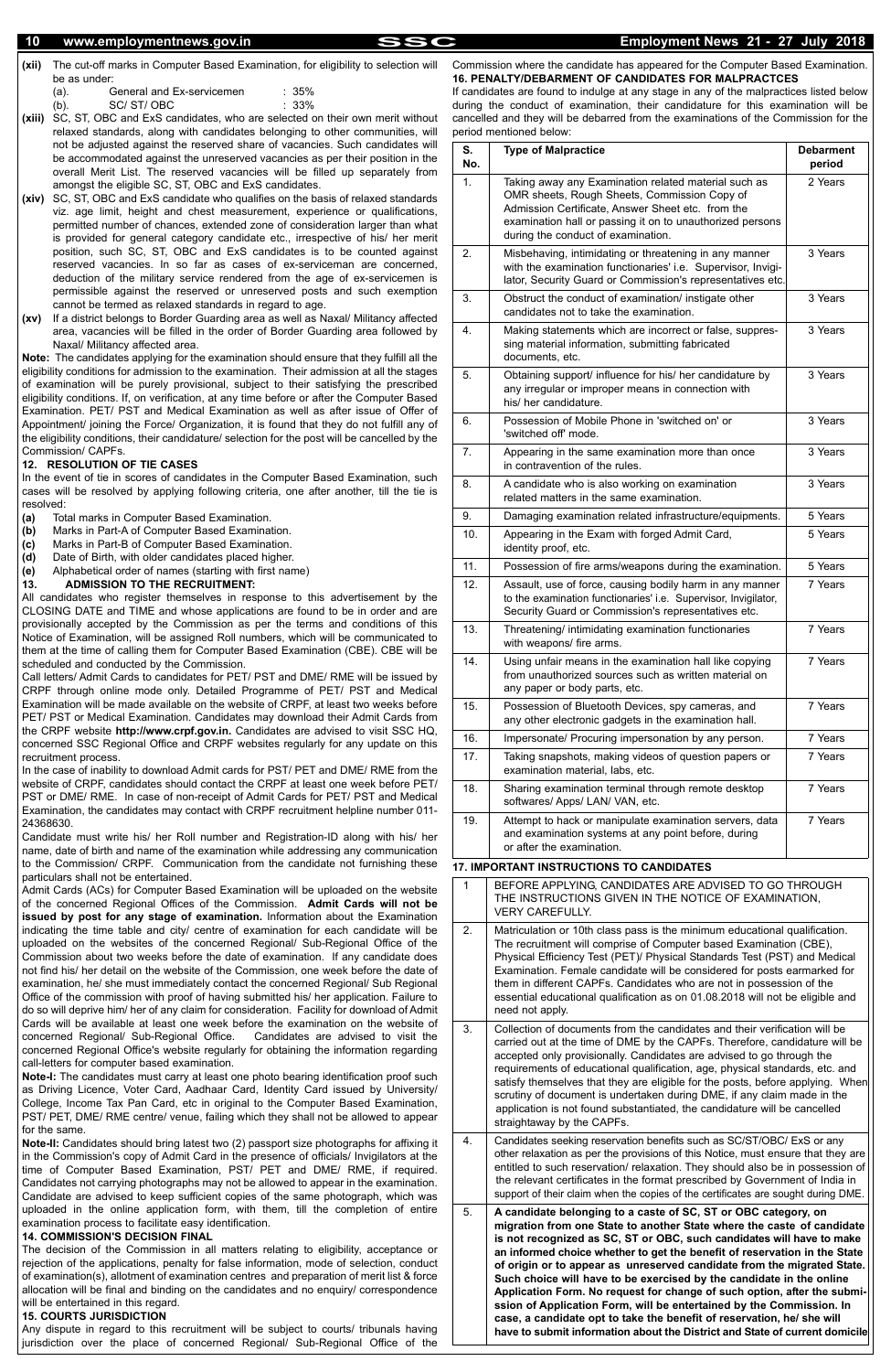- **(xii)** The cut-off marks in Computer Based Examination, for eligibility to selection will be as under:
	- (a). General and Ex-servicemen : 35%
	- (b). SC/ ST/ OBC : 33%
- **(xiii)** SC, ST, OBC and ExS candidates, who are selected on their own merit without relaxed standards, along with candidates belonging to other communities, will not be adjusted against the reserved share of vacancies. Such candidates will be accommodated against the unreserved vacancies as per their position in the overall Merit List. The reserved vacancies will be filled up separately from amongst the eligible SC, ST, OBC and ExS candidates.
- **(xiv)** SC, ST, OBC and ExS candidate who qualifies on the basis of relaxed standards viz. age limit, height and chest measurement, experience or qualifications, permitted number of chances, extended zone of consideration larger than what is provided for general category candidate etc., irrespective of his/ her merit position, such SC, ST, OBC and ExS candidates is to be counted against reserved vacancies. In so far as cases of ex-serviceman are concerned, deduction of the military service rendered from the age of ex-servicemen is permissible against the reserved or unreserved posts and such exemption cannot be termed as relaxed standards in regard to age.
- **(xv)** If a district belongs to Border Guarding area as well as Naxal/ Militancy affected area, vacancies will be filled in the order of Border Guarding area followed by Naxal/ Militancy affected area.

**Note:** The candidates applying for the examination should ensure that they fulfill all the eligibility conditions for admission to the examination. Their admission at all the stages of examination will be purely provisional, subject to their satisfying the prescribed eligibility conditions. If, on verification, at any time before or after the Computer Based Examination. PET/ PST and Medical Examination as well as after issue of Offer of Appointment/ joining the Force/ Organization, it is found that they do not fulfill any of the eligibility conditions, their candidature/ selection for the post will be cancelled by the Commission/ CAPFs.

#### **12. RESOLUTION OF TIE CASES**

In the event of tie in scores of candidates in the Computer Based Examination, such cases will be resolved by applying following criteria, one after another, till the tie is resolved:

- **(a)** Total marks in Computer Based Examination.
- **(b)** Marks in Part-A of Computer Based Examination.
- **(c)** Marks in Part-B of Computer Based Examination.
- **(d)** Date of Birth, with older candidates placed higher.
- **(e)** Alphabetical order of names (starting with first name)

#### **13. ADMISSION TO THE RECRUITMENT:**

All candidates who register themselves in response to this advertisement by the CLOSING DATE and TIME and whose applications are found to be in order and are provisionally accepted by the Commission as per the terms and conditions of this Notice of Examination, will be assigned Roll numbers, which will be communicated to them at the time of calling them for Computer Based Examination (CBE). CBE will be scheduled and conducted by the Commission.

Call letters/ Admit Cards to candidates for PET/ PST and DME/ RME will be issued by CRPF through online mode only. Detailed Programme of PET/ PST and Medical Examination will be made available on the website of CRPF, at least two weeks before PET/ PST or Medical Examination. Candidates may download their Admit Cards from the CRPF website **http://www.crpf.gov.in.** Candidates are advised to visit SSC HQ, concerned SSC Regional Office and CRPF websites regularly for any update on this recruitment process.

In the case of inability to download Admit cards for PST/ PET and DME/ RME from the website of CRPF, candidates should contact the CRPF at least one week before PET/ PST or DME/ RME. In case of non-receipt of Admit Cards for PET/ PST and Medical Examination, the candidates may contact with CRPF recruitment helpline number 011- 24368630.

Candidate must write his/ her Roll number and Registration-ID along with his/ her name, date of birth and name of the examination while addressing any communication to the Commission/ CRPF. Communication from the candidate not furnishing these particulars shall not be entertained.

Admit Cards (ACs) for Computer Based Examination will be uploaded on the website of the concerned Regional Offices of the Commission. **Admit Cards will not be issued by post for any stage of examination.** Information about the Examination indicating the time table and city/ centre of examination for each candidate will be uploaded on the websites of the concerned Regional/ Sub-Regional Office of the Commission about two weeks before the date of examination. If any candidate does not find his/ her detail on the website of the Commission, one week before the date of examination, he/ she must immediately contact the concerned Regional/ Sub Regional Office of the commission with proof of having submitted his/ her application. Failure to do so will deprive him/ her of any claim for consideration. Facility for download of Admit Cards will be available at least one week before the examination on the website of concerned Regional/ Sub-Regional Office. Candidates are advised to visit the concerned Regional Office's website regularly for obtaining the information regarding call-letters for computer based examination.

> 4. Candidates seeking reservation benefits such as SC/ST/OBC/ ExS or any other relaxation as per the provisions of this Notice, must ensure that they are entitled to such reservation/ relaxation. They should also be in possession of the relevant certificates in the format prescribed by Government of India in support of their claim when the copies of the certificates are sought during DME.

**Note-I:** The candidates must carry at least one photo bearing identification proof such as Driving Licence, Voter Card, Aadhaar Card, Identity Card issued by University/ College, Income Tax Pan Card, etc in original to the Computer Based Examination, PST/ PET, DME/ RME centre/ venue, failing which they shall not be allowed to appear for the same. **Note-II:** Candidates should bring latest two (2) passport size photographs for affixing it in the Commission's copy of Admit Card in the presence of officials/ Invigilators at the time of Computer Based Examination, PST/ PET and DME/ RME, if required. Candidates not carrying photographs may not be allowed to appear in the examination. Candidate are advised to keep sufficient copies of the same photograph, which was uploaded in the online application form, with them, till the completion of entire examination process to facilitate easy identification.

#### **14. COMMISSION'S DECISION FINAL**

The decision of the Commission in all matters relating to eligibility, acceptance or rejection of the applications, penalty for false information, mode of selection, conduct of examination(s), allotment of examination centres and preparation of merit list & force allocation will be final and binding on the candidates and no enquiry/ correspondence will be entertained in this regard.

#### **15. COURTS JURISDICTION**

Any dispute in regard to this recruitment will be subject to courts/ tribunals having jurisdiction over the place of concerned Regional/ Sub-Regional Office of the

Commission where the candidate has appeared for the Computer Based Examination. **16. PENALTY/DEBARMENT OF CANDIDATES FOR MALPRACTCES**

If candidates are found to indulge at any stage in any of the malpractices listed below during the conduct of examination, their candidature for this examination will be cancelled and they will be debarred from the examinations of the Commission for the period mentioned below:

| S.<br>No. | <b>Type of Malpractice</b>                                                                                                                                                                                                                                   | <b>Debarment</b><br>period |
|-----------|--------------------------------------------------------------------------------------------------------------------------------------------------------------------------------------------------------------------------------------------------------------|----------------------------|
| 1.        | Taking away any Examination related material such as<br>OMR sheets, Rough Sheets, Commission Copy of<br>Admission Certificate, Answer Sheet etc. from the<br>examination hall or passing it on to unauthorized persons<br>during the conduct of examination. | 2 Years                    |
| 2.        | Misbehaving, intimidating or threatening in any manner<br>with the examination functionaries' i.e. Supervisor, Invigi-<br>lator, Security Guard or Commission's representatives etc.                                                                         | 3 Years                    |
| 3.        | Obstruct the conduct of examination/ instigate other<br>candidates not to take the examination.                                                                                                                                                              | 3 Years                    |
| 4.        | Making statements which are incorrect or false, suppres-<br>sing material information, submitting fabricated<br>documents, etc.                                                                                                                              | 3 Years                    |
| 5.        | Obtaining support/ influence for his/ her candidature by<br>any irregular or improper means in connection with<br>his/ her candidature.                                                                                                                      | 3 Years                    |
| 6.        | Possession of Mobile Phone in 'switched on' or<br>'switched off' mode.                                                                                                                                                                                       | 3 Years                    |
| 7.        | Appearing in the same examination more than once<br>in contravention of the rules.                                                                                                                                                                           | 3 Years                    |
| 8.        | A candidate who is also working on examination<br>related matters in the same examination.                                                                                                                                                                   | 3 Years                    |
| 9.        | Damaging examination related infrastructure/equipments.                                                                                                                                                                                                      | 5 Years                    |
| 10.       | Appearing in the Exam with forged Admit Card,<br>identity proof, etc.                                                                                                                                                                                        | 5 Years                    |
| 11.       | Possession of fire arms/weapons during the examination.                                                                                                                                                                                                      | 5 Years                    |
| 12.       | Assault, use of force, causing bodily harm in any manner<br>to the examination functionaries' i.e. Supervisor, Invigilator,<br>Security Guard or Commission's representatives etc.                                                                           | 7 Years                    |
| 13.       | Threatening/ intimidating examination functionaries<br>with weapons/ fire arms.                                                                                                                                                                              | 7 Years                    |
| 14.       | Using unfair means in the examination hall like copying<br>from unauthorized sources such as written material on<br>any paper or body parts, etc.                                                                                                            | 7 Years                    |
| 15.       | Possession of Bluetooth Devices, spy cameras, and<br>any other electronic gadgets in the examination hall.                                                                                                                                                   | 7 Years                    |
| 16.       | Impersonate/ Procuring impersonation by any person.                                                                                                                                                                                                          | 7 Years                    |
| 17.       | Taking snapshots, making videos of question papers or<br>examination material, labs, etc.                                                                                                                                                                    | 7 Years                    |
| 18.       | Sharing examination terminal through remote desktop<br>softwares/ Apps/ LAN/ VAN, etc.                                                                                                                                                                       | 7 Years                    |
| 19.       | Attempt to hack or manipulate examination servers, data<br>and examination systems at any point before, during<br>or after the examination.                                                                                                                  | 7 Years                    |

#### **17. IMPORTANT INSTRUCTIONS TO CANDIDATES**

|    | BEFORE APPLYING, CANDIDATES ARE ADVISED TO GO THROUGH<br>THE INSTRUCTIONS GIVEN IN THE NOTICE OF EXAMINATION.<br><b>VERY CAREFULLY.</b>                                                                                                                                                                                                                                                                                                                                               |
|----|---------------------------------------------------------------------------------------------------------------------------------------------------------------------------------------------------------------------------------------------------------------------------------------------------------------------------------------------------------------------------------------------------------------------------------------------------------------------------------------|
| 2. | Matriculation or 10th class pass is the minimum educational qualification.<br>The recruitment will comprise of Computer based Examination (CBE),<br>Physical Efficiency Test (PET)/ Physical Standards Test (PST) and Medical<br>Examination. Female candidate will be considered for posts earmarked for<br>them in different CAPFs. Candidates who are not in possession of the<br>essential educational qualification as on 01.08.2018 will not be eligible and<br>need not apply. |
| 3. | Collection of documents from the candidates and their verification will be<br>carried out at the time of DME by the CAPFs. Therefore, candidature will be<br>accepted only provisionally. Candidates are advised to go through the<br>requirements of educational qualification, age, physical standards, etc. and<br>satisfy themselves that they are eligible for the posts, before applying. When                                                                                  |

scrutiny of document is undertaken during DME, if any claim made in the application is not found substantiated, the candidature will be cancelled straightaway by the CAPFs.

5. **A candidate belonging to a caste of SC, ST or OBC category, on migration from one State to another State where the caste of candidate is not recognized as SC, ST or OBC, such candidates will have to make an informed choice whether to get the benefit of reservation in the State of origin or to appear as unreserved candidate from the migrated State. Such choice will have to be exercised by the candidate in the online Application Form. No request for change of such option, after the submission of Application Form, will be entertained by the Commission. In case, a candidate opt to take the benefit of reservation, he/ she will have to submit information about the District and State of current domicile**